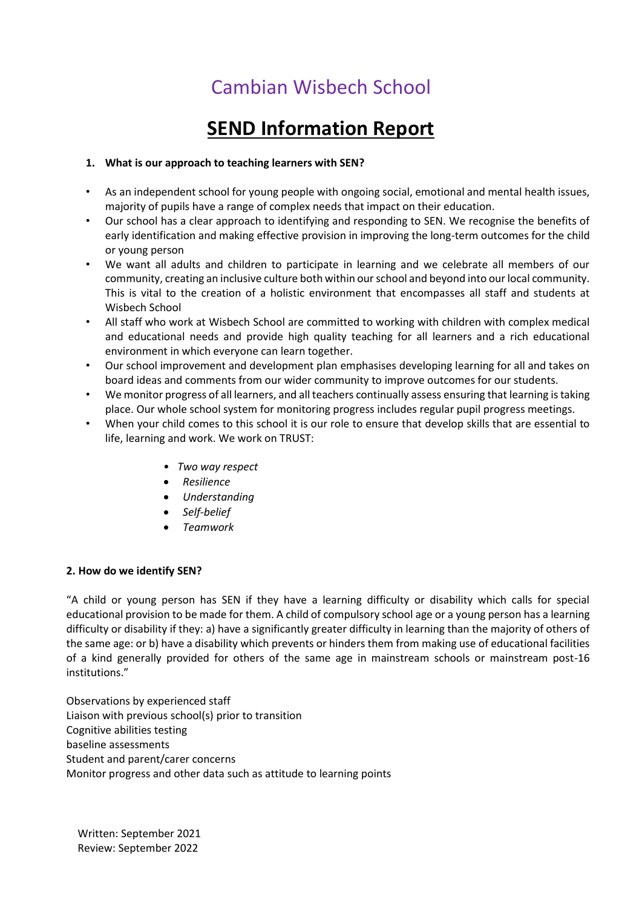# Cambian Wisbech School

## **SEND Information Report**

## **1. What is our approach to teaching learners with SEN?**

- As an independent school for young people with ongoing social, emotional and mental health issues, majority of pupils have a range of complex needs that impact on their education.
- Our school has a clear approach to identifying and responding to SEN. We recognise the benefits of early identification and making effective provision in improving the long-term outcomes for the child or young person
- We want all adults and children to participate in learning and we celebrate all members of our community, creating an inclusive culture both within our school and beyond into our local community. This is vital to the creation of a holistic environment that encompasses all staff and students at Wisbech School
- All staff who work at Wisbech School are committed to working with children with complex medical and educational needs and provide high quality teaching for all learners and a rich educational environment in which everyone can learn together.
- Our school improvement and development plan emphasises developing learning for all and takes on board ideas and comments from our wider community to improve outcomes for our students.
- We monitor progress of all learners, and all teachers continually assess ensuring that learning is taking place. Our whole school system for monitoring progress includes regular pupil progress meetings.
- When your child comes to this school it is our role to ensure that develop skills that are essential to life, learning and work. We work on TRUST:
	- *Two way respect*
	- *Resilience*
	- *Understanding*
	- *Self-belief*
	- *Teamwork*

## **2. How do we identify SEN?**

"A child or young person has SEN if they have a learning difficulty or disability which calls for special educational provision to be made for them. A child of compulsory school age or a young person has a learning difficulty or disability if they: a) have a significantly greater difficulty in learning than the majority of others of the same age: or b) have a disability which prevents or hinders them from making use of educational facilities of a kind generally provided for others of the same age in mainstream schools or mainstream post-16 institutions."

Observations by experienced staff Liaison with previous school(s) prior to transition Cognitive abilities testing baseline assessments Student and parent/carer concerns Monitor progress and other data such as attitude to learning points

Written: September 2021 Review: September 2022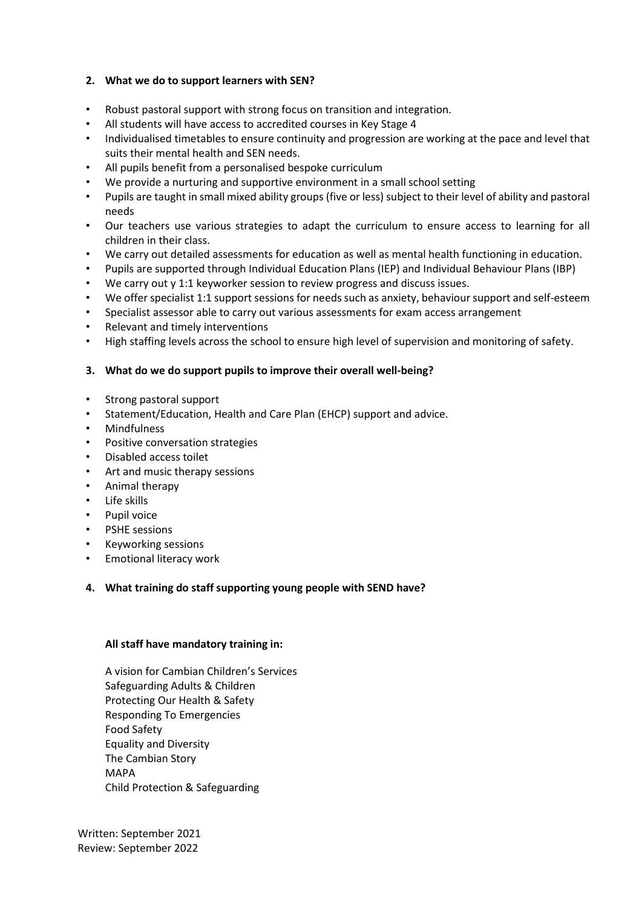## **2. What we do to support learners with SEN?**

- Robust pastoral support with strong focus on transition and integration.
- All students will have access to accredited courses in Key Stage 4
- Individualised timetables to ensure continuity and progression are working at the pace and level that suits their mental health and SEN needs.
- All pupils benefit from a personalised bespoke curriculum
- We provide a nurturing and supportive environment in a small school setting
- Pupils are taught in small mixed ability groups (five or less) subject to their level of ability and pastoral needs
- Our teachers use various strategies to adapt the curriculum to ensure access to learning for all children in their class.
- We carry out detailed assessments for education as well as mental health functioning in education.
- Pupils are supported through Individual Education Plans (IEP) and Individual Behaviour Plans (IBP)
- We carry out y 1:1 keyworker session to review progress and discuss issues.
- We offer specialist 1:1 support sessions for needs such as anxiety, behaviour support and self-esteem
- Specialist assessor able to carry out various assessments for exam access arrangement
- Relevant and timely interventions
- High staffing levels across the school to ensure high level of supervision and monitoring of safety.

## **3. What do we do support pupils to improve their overall well-being?**

- Strong pastoral support
- Statement/Education, Health and Care Plan (EHCP) support and advice.
- Mindfulness
- Positive conversation strategies
- Disabled access toilet
- Art and music therapy sessions
- Animal therapy
- Life skills
- Pupil voice
- PSHE sessions
- Keyworking sessions
- Emotional literacy work

## **4. What training do staff supporting young people with SEND have?**

## **All staff have mandatory training in:**

A vision for Cambian Children's Services Safeguarding Adults & Children Protecting Our Health & Safety Responding To Emergencies Food Safety Equality and Diversity The Cambian Story MAPA Child Protection & Safeguarding

Written: September 2021 Review: September 2022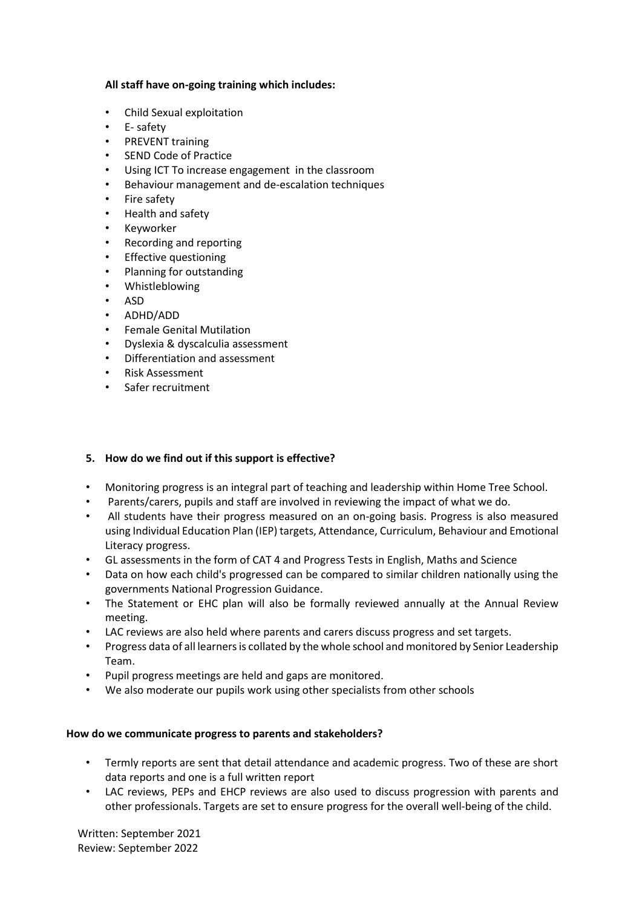#### **All staff have on-going training which includes:**

- Child Sexual exploitation
- E- safety
- PREVENT training
- **SEND Code of Practice**
- Using ICT To increase engagement in the classroom
- Behaviour management and de-escalation techniques
- Fire safety
- Health and safety
- Keyworker
- Recording and reporting
- **Effective questioning**
- Planning for outstanding
- Whistleblowing
- ASD
- ADHD/ADD
- Female Genital Mutilation
- Dyslexia & dyscalculia assessment
- Differentiation and assessment
- Risk Assessment
- Safer recruitment

#### **5. How do we find out if this support is effective?**

- Monitoring progress is an integral part of teaching and leadership within Home Tree School.
- Parents/carers, pupils and staff are involved in reviewing the impact of what we do.
- All students have their progress measured on an on-going basis. Progress is also measured using Individual Education Plan (IEP) targets, Attendance, Curriculum, Behaviour and Emotional Literacy progress.
- GL assessments in the form of CAT 4 and Progress Tests in English, Maths and Science
- Data on how each child's progressed can be compared to similar children nationally using the governments National Progression Guidance.
- The Statement or EHC plan will also be formally reviewed annually at the Annual Review meeting.
- LAC reviews are also held where parents and carers discuss progress and set targets.
- Progress data of all learners is collated by the whole school and monitored by Senior Leadership Team.
- Pupil progress meetings are held and gaps are monitored.
- We also moderate our pupils work using other specialists from other schools

#### **How do we communicate progress to parents and stakeholders?**

- Termly reports are sent that detail attendance and academic progress. Two of these are short data reports and one is a full written report
- LAC reviews, PEPs and EHCP reviews are also used to discuss progression with parents and other professionals. Targets are set to ensure progress for the overall well-being of the child.

Written: September 2021 Review: September 2022